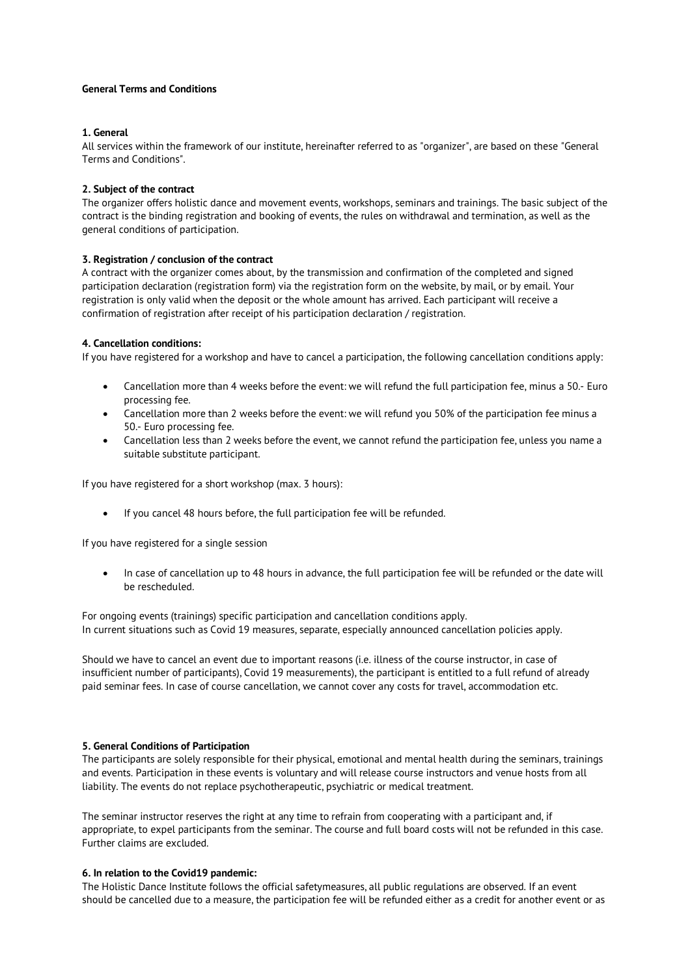## **General Terms and Conditions**

## **1. General**

All services within the framework of our institute, hereinafter referred to as "organizer", are based on these "General Terms and Conditions".

## **2. Subject of the contract**

The organizer offers holistic dance and movement events, workshops, seminars and trainings. The basic subject of the contract is the binding registration and booking of events, the rules on withdrawal and termination, as well as the general conditions of participation.

# **3. Registration / conclusion of the contract**

A contract with the organizer comes about, by the transmission and confirmation of the completed and signed participation declaration (registration form) via the registration form on the website, by mail, or by email. Your registration is only valid when the deposit or the whole amount has arrived. Each participant will receive a confirmation of registration after receipt of his participation declaration / registration.

## **4. Cancellation conditions:**

If you have registered for a workshop and have to cancel a participation, the following cancellation conditions apply:

- Cancellation more than 4 weeks before the event: we will refund the full participation fee, minus a 50.- Euro processing fee.
- Cancellation more than 2 weeks before the event: we will refund you 50% of the participation fee minus a 50.- Euro processing fee.
- Cancellation less than 2 weeks before the event, we cannot refund the participation fee, unless you name a suitable substitute participant.

If you have registered for a short workshop (max. 3 hours):

• If you cancel 48 hours before, the full participation fee will be refunded.

If you have registered for a single session

• In case of cancellation up to 48 hours in advance, the full participation fee will be refunded or the date will be rescheduled.

For ongoing events (trainings) specific participation and cancellation conditions apply. In current situations such as Covid 19 measures, separate, especially announced cancellation policies apply.

Should we have to cancel an event due to important reasons (i.e. illness of the course instructor, in case of insufficient number of participants), Covid 19 measurements), the participant is entitled to a full refund of already paid seminar fees. In case of course cancellation, we cannot cover any costs for travel, accommodation etc.

#### **5. General Conditions of Participation**

The participants are solely responsible for their physical, emotional and mental health during the seminars, trainings and events. Participation in these events is voluntary and will release course instructors and venue hosts from all liability. The events do not replace psychotherapeutic, psychiatric or medical treatment.

The seminar instructor reserves the right at any time to refrain from cooperating with a participant and, if appropriate, to expel participants from the seminar. The course and full board costs will not be refunded in this case. Further claims are excluded.

#### **6. In relation to the Covid19 pandemic:**

The Holistic Dance Institute follows the official safetymeasures, all public regulations are observed. If an event should be cancelled due to a measure, the participation fee will be refunded either as a credit for another event or as